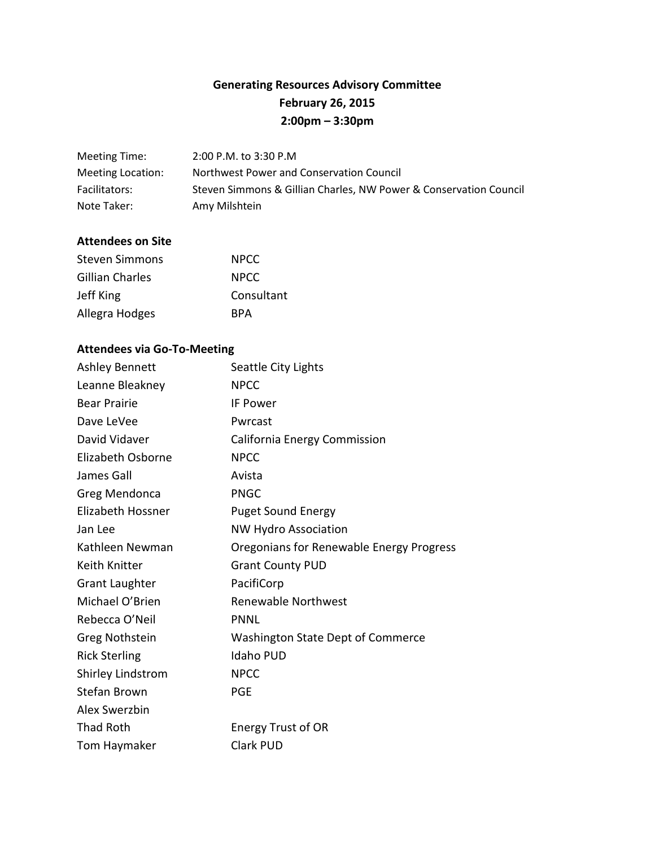# **Generating Resources Advisory Committee February 26, 2015 2:00pm – 3:30pm**

| Meeting Time:     | 2:00 P.M. to 3:30 P.M                                             |
|-------------------|-------------------------------------------------------------------|
| Meeting Location: | Northwest Power and Conservation Council                          |
| Facilitators:     | Steven Simmons & Gillian Charles, NW Power & Conservation Council |
| Note Taker:       | Amy Milshtein                                                     |

#### **Attendees on Site**

| Steven Simmons  | <b>NPCC</b> |
|-----------------|-------------|
| Gillian Charles | <b>NPCC</b> |
| Jeff King       | Consultant  |
| Allegra Hodges  | <b>RPA</b>  |

# **Attendees via Go-To-Meeting**

| <b>Ashley Bennett</b> | Seattle City Lights                      |
|-----------------------|------------------------------------------|
| Leanne Bleakney       | <b>NPCC</b>                              |
| <b>Bear Prairie</b>   | <b>IF Power</b>                          |
| Dave LeVee            | Pwrcast                                  |
| David Vidaver         | California Energy Commission             |
| Elizabeth Osborne     | <b>NPCC</b>                              |
| James Gall            | Avista                                   |
| Greg Mendonca         | <b>PNGC</b>                              |
| Elizabeth Hossner     | <b>Puget Sound Energy</b>                |
| Jan Lee               | <b>NW Hydro Association</b>              |
| Kathleen Newman       | Oregonians for Renewable Energy Progress |
| Keith Knitter         | <b>Grant County PUD</b>                  |
| <b>Grant Laughter</b> | PacifiCorp                               |
| Michael O'Brien       | Renewable Northwest                      |
| Rebecca O'Neil        | <b>PNNL</b>                              |
| Greg Nothstein        | Washington State Dept of Commerce        |
| <b>Rick Sterling</b>  | <b>Idaho PUD</b>                         |
| Shirley Lindstrom     | <b>NPCC</b>                              |
| <b>Stefan Brown</b>   | <b>PGE</b>                               |
| Alex Swerzbin         |                                          |
| Thad Roth             | <b>Energy Trust of OR</b>                |
| Tom Haymaker          | <b>Clark PUD</b>                         |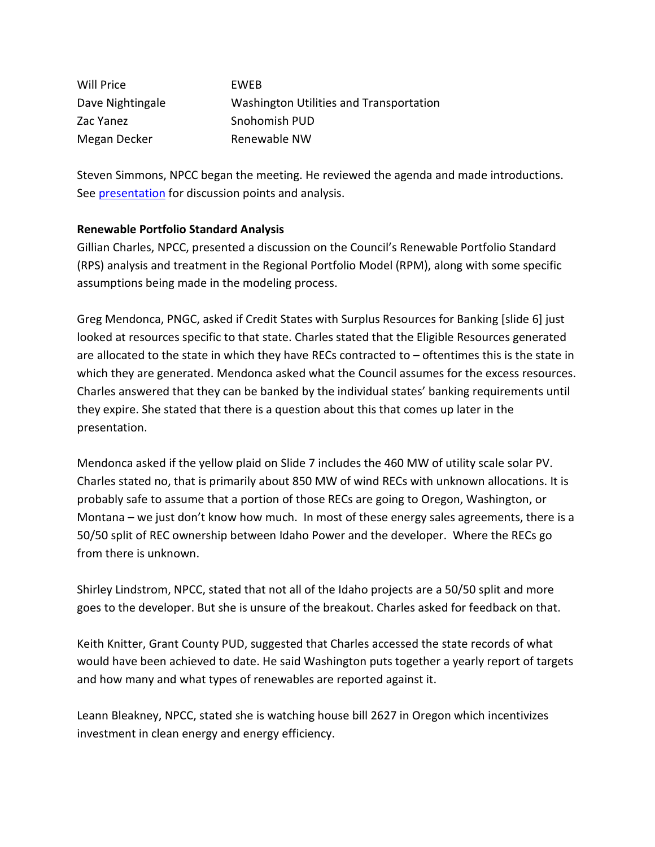| Will Price       | <b>FWFB</b>                             |
|------------------|-----------------------------------------|
| Dave Nightingale | Washington Utilities and Transportation |
| Zac Yanez        | Snohomish PUD                           |
| Megan Decker     | Renewable NW                            |

Steven Simmons, NPCC began the meeting. He reviewed the agenda and made introductions. See **presentation** for discussion points and analysis.

### **Renewable Portfolio Standard Analysis**

Gillian Charles, NPCC, presented a discussion on the Council's Renewable Portfolio Standard (RPS) analysis and treatment in the Regional Portfolio Model (RPM), along with some specific assumptions being made in the modeling process.

Greg Mendonca, PNGC, asked if Credit States with Surplus Resources for Banking [slide 6] just looked at resources specific to that state. Charles stated that the Eligible Resources generated are allocated to the state in which they have RECs contracted to – oftentimes this is the state in which they are generated. Mendonca asked what the Council assumes for the excess resources. Charles answered that they can be banked by the individual states' banking requirements until they expire. She stated that there is a question about this that comes up later in the presentation.

Mendonca asked if the yellow plaid on Slide 7 includes the 460 MW of utility scale solar PV. Charles stated no, that is primarily about 850 MW of wind RECs with unknown allocations. It is probably safe to assume that a portion of those RECs are going to Oregon, Washington, or Montana – we just don't know how much. In most of these energy sales agreements, there is a 50/50 split of REC ownership between Idaho Power and the developer. Where the RECs go from there is unknown.

Shirley Lindstrom, NPCC, stated that not all of the Idaho projects are a 50/50 split and more goes to the developer. But she is unsure of the breakout. Charles asked for feedback on that.

Keith Knitter, Grant County PUD, suggested that Charles accessed the state records of what would have been achieved to date. He said Washington puts together a yearly report of targets and how many and what types of renewables are reported against it.

Leann Bleakney, NPCC, stated she is watching house bill 2627 in Oregon which incentivizes investment in clean energy and energy efficiency.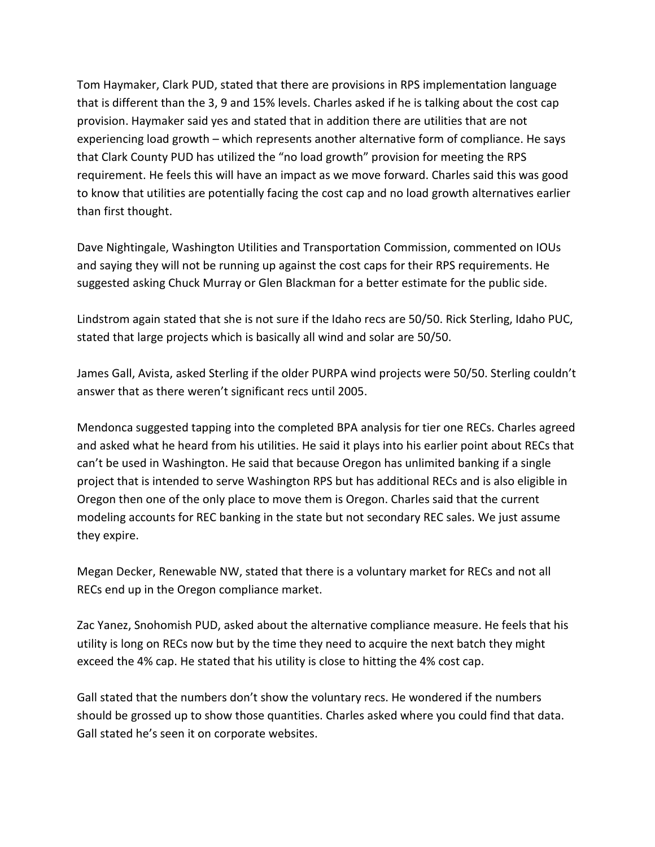Tom Haymaker, Clark PUD, stated that there are provisions in RPS implementation language that is different than the 3, 9 and 15% levels. Charles asked if he is talking about the cost cap provision. Haymaker said yes and stated that in addition there are utilities that are not experiencing load growth – which represents another alternative form of compliance. He says that Clark County PUD has utilized the "no load growth" provision for meeting the RPS requirement. He feels this will have an impact as we move forward. Charles said this was good to know that utilities are potentially facing the cost cap and no load growth alternatives earlier than first thought.

Dave Nightingale, Washington Utilities and Transportation Commission, commented on IOUs and saying they will not be running up against the cost caps for their RPS requirements. He suggested asking Chuck Murray or Glen Blackman for a better estimate for the public side.

Lindstrom again stated that she is not sure if the Idaho recs are 50/50. Rick Sterling, Idaho PUC, stated that large projects which is basically all wind and solar are 50/50.

James Gall, Avista, asked Sterling if the older PURPA wind projects were 50/50. Sterling couldn't answer that as there weren't significant recs until 2005.

Mendonca suggested tapping into the completed BPA analysis for tier one RECs. Charles agreed and asked what he heard from his utilities. He said it plays into his earlier point about RECs that can't be used in Washington. He said that because Oregon has unlimited banking if a single project that is intended to serve Washington RPS but has additional RECs and is also eligible in Oregon then one of the only place to move them is Oregon. Charles said that the current modeling accounts for REC banking in the state but not secondary REC sales. We just assume they expire.

Megan Decker, Renewable NW, stated that there is a voluntary market for RECs and not all RECs end up in the Oregon compliance market.

Zac Yanez, Snohomish PUD, asked about the alternative compliance measure. He feels that his utility is long on RECs now but by the time they need to acquire the next batch they might exceed the 4% cap. He stated that his utility is close to hitting the 4% cost cap.

Gall stated that the numbers don't show the voluntary recs. He wondered if the numbers should be grossed up to show those quantities. Charles asked where you could find that data. Gall stated he's seen it on corporate websites.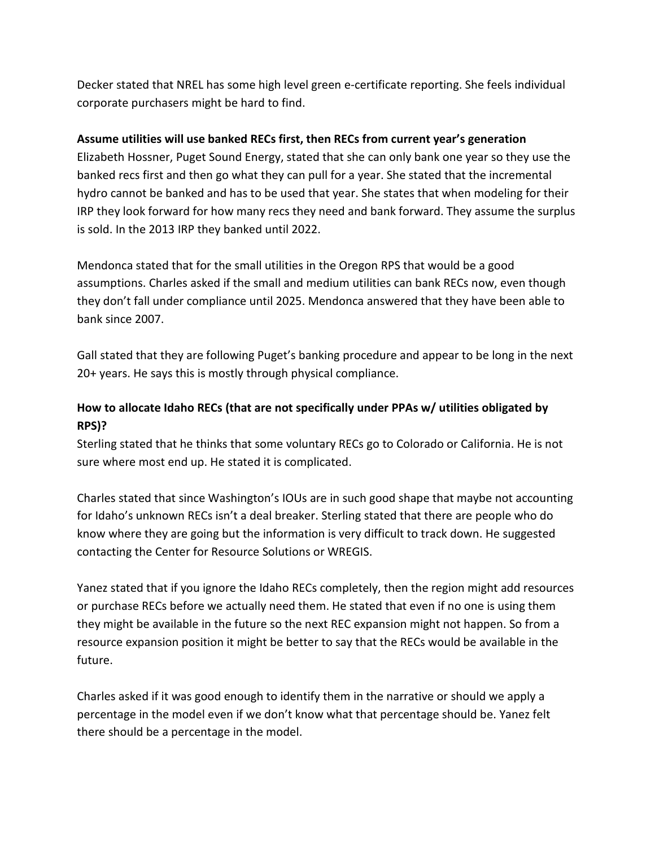Decker stated that NREL has some high level green e-certificate reporting. She feels individual corporate purchasers might be hard to find.

#### **Assume utilities will use banked RECs first, then RECs from current year's generation**

Elizabeth Hossner, Puget Sound Energy, stated that she can only bank one year so they use the banked recs first and then go what they can pull for a year. She stated that the incremental hydro cannot be banked and has to be used that year. She states that when modeling for their IRP they look forward for how many recs they need and bank forward. They assume the surplus is sold. In the 2013 IRP they banked until 2022.

Mendonca stated that for the small utilities in the Oregon RPS that would be a good assumptions. Charles asked if the small and medium utilities can bank RECs now, even though they don't fall under compliance until 2025. Mendonca answered that they have been able to bank since 2007.

Gall stated that they are following Puget's banking procedure and appear to be long in the next 20+ years. He says this is mostly through physical compliance.

# **How to allocate Idaho RECs (that are not specifically under PPAs w/ utilities obligated by RPS)?**

Sterling stated that he thinks that some voluntary RECs go to Colorado or California. He is not sure where most end up. He stated it is complicated.

Charles stated that since Washington's IOUs are in such good shape that maybe not accounting for Idaho's unknown RECs isn't a deal breaker. Sterling stated that there are people who do know where they are going but the information is very difficult to track down. He suggested contacting the Center for Resource Solutions or WREGIS.

Yanez stated that if you ignore the Idaho RECs completely, then the region might add resources or purchase RECs before we actually need them. He stated that even if no one is using them they might be available in the future so the next REC expansion might not happen. So from a resource expansion position it might be better to say that the RECs would be available in the future.

Charles asked if it was good enough to identify them in the narrative or should we apply a percentage in the model even if we don't know what that percentage should be. Yanez felt there should be a percentage in the model.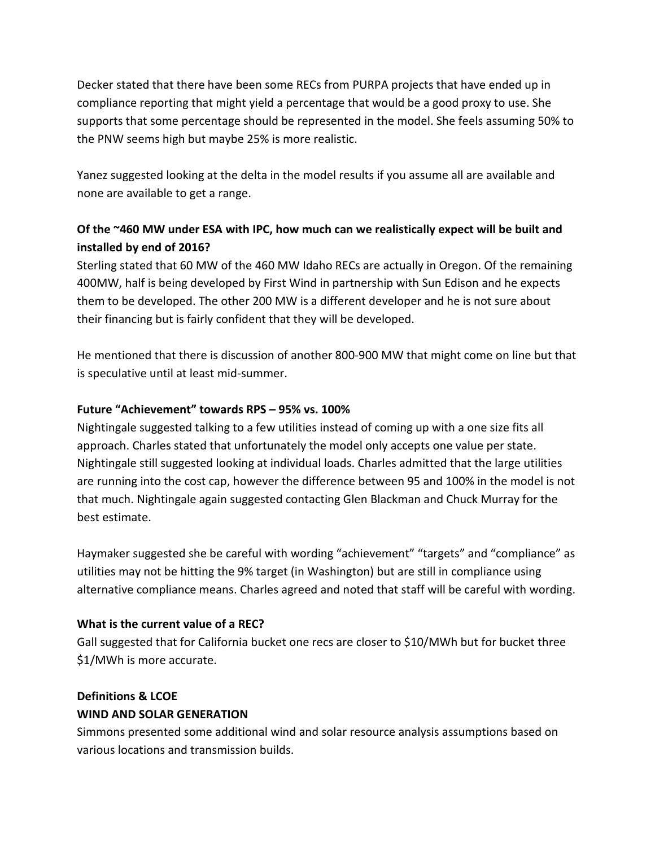Decker stated that there have been some RECs from PURPA projects that have ended up in compliance reporting that might yield a percentage that would be a good proxy to use. She supports that some percentage should be represented in the model. She feels assuming 50% to the PNW seems high but maybe 25% is more realistic.

Yanez suggested looking at the delta in the model results if you assume all are available and none are available to get a range.

# **Of the ~460 MW under ESA with IPC, how much can we realistically expect will be built and installed by end of 2016?**

Sterling stated that 60 MW of the 460 MW Idaho RECs are actually in Oregon. Of the remaining 400MW, half is being developed by First Wind in partnership with Sun Edison and he expects them to be developed. The other 200 MW is a different developer and he is not sure about their financing but is fairly confident that they will be developed.

He mentioned that there is discussion of another 800-900 MW that might come on line but that is speculative until at least mid-summer.

### **Future "Achievement" towards RPS – 95% vs. 100%**

Nightingale suggested talking to a few utilities instead of coming up with a one size fits all approach. Charles stated that unfortunately the model only accepts one value per state. Nightingale still suggested looking at individual loads. Charles admitted that the large utilities are running into the cost cap, however the difference between 95 and 100% in the model is not that much. Nightingale again suggested contacting Glen Blackman and Chuck Murray for the best estimate.

Haymaker suggested she be careful with wording "achievement" "targets" and "compliance" as utilities may not be hitting the 9% target (in Washington) but are still in compliance using alternative compliance means. Charles agreed and noted that staff will be careful with wording.

### **What is the current value of a REC?**

Gall suggested that for California bucket one recs are closer to \$10/MWh but for bucket three \$1/MWh is more accurate.

### **Definitions & LCOE**

### **WIND AND SOLAR GENERATION**

Simmons presented some additional wind and solar resource analysis assumptions based on various locations and transmission builds.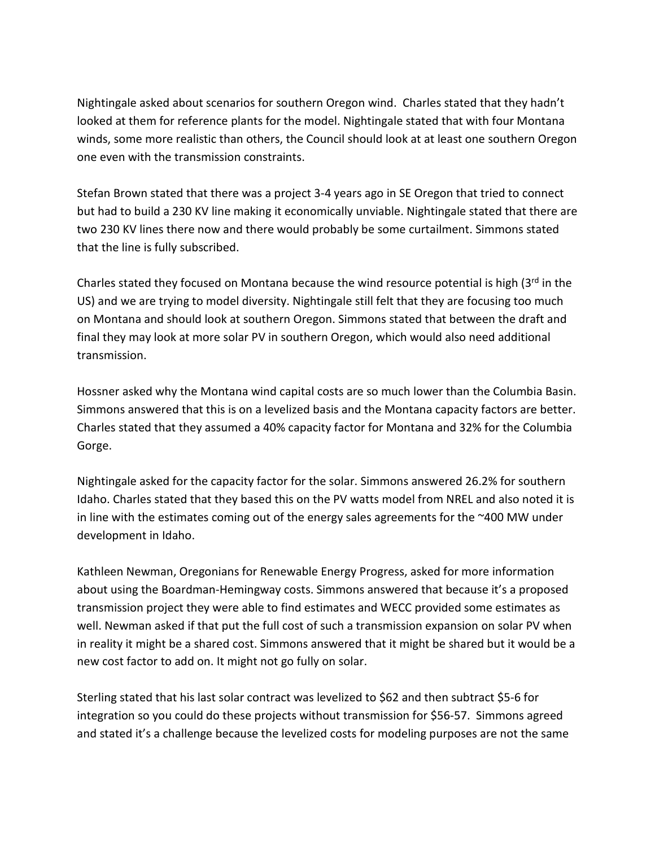Nightingale asked about scenarios for southern Oregon wind. Charles stated that they hadn't looked at them for reference plants for the model. Nightingale stated that with four Montana winds, some more realistic than others, the Council should look at at least one southern Oregon one even with the transmission constraints.

Stefan Brown stated that there was a project 3-4 years ago in SE Oregon that tried to connect but had to build a 230 KV line making it economically unviable. Nightingale stated that there are two 230 KV lines there now and there would probably be some curtailment. Simmons stated that the line is fully subscribed.

Charles stated they focused on Montana because the wind resource potential is high (3rd in the US) and we are trying to model diversity. Nightingale still felt that they are focusing too much on Montana and should look at southern Oregon. Simmons stated that between the draft and final they may look at more solar PV in southern Oregon, which would also need additional transmission.

Hossner asked why the Montana wind capital costs are so much lower than the Columbia Basin. Simmons answered that this is on a levelized basis and the Montana capacity factors are better. Charles stated that they assumed a 40% capacity factor for Montana and 32% for the Columbia Gorge.

Nightingale asked for the capacity factor for the solar. Simmons answered 26.2% for southern Idaho. Charles stated that they based this on the PV watts model from NREL and also noted it is in line with the estimates coming out of the energy sales agreements for the ~400 MW under development in Idaho.

Kathleen Newman, Oregonians for Renewable Energy Progress, asked for more information about using the Boardman-Hemingway costs. Simmons answered that because it's a proposed transmission project they were able to find estimates and WECC provided some estimates as well. Newman asked if that put the full cost of such a transmission expansion on solar PV when in reality it might be a shared cost. Simmons answered that it might be shared but it would be a new cost factor to add on. It might not go fully on solar.

Sterling stated that his last solar contract was levelized to \$62 and then subtract \$5-6 for integration so you could do these projects without transmission for \$56-57. Simmons agreed and stated it's a challenge because the levelized costs for modeling purposes are not the same